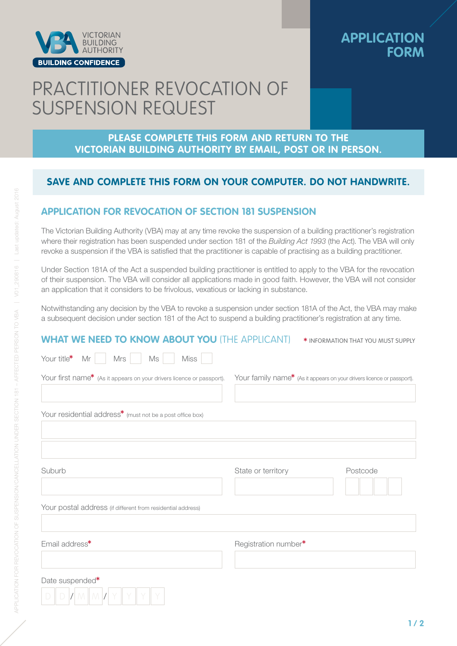

### **APPLICATION FORM**

# PRACTITIONER REVOCATION OF SUSPENSION REQUEST

#### **PLEASE COMPLETE THIS FORM AND RETURN TO THE VICTORIAN BUILDING AUTHORITY BY EMAIL, POST OR IN PERSON.**

#### **SAVE AND COMPLETE THIS FORM ON YOUR COMPUTER. DO NOT HANDWRITE.**

#### **APPLICATION FOR REVOCATION OF SECTION 181 SUSPENSION**

The Victorian Building Authority (VBA) may at any time revoke the suspension of a building practitioner's registration where their registration has been suspended under section 181 of the *Building Act 1993* (the Act). The VBA will only revoke a suspension if the VBA is satisfied that the practitioner is capable of practising as a building practitioner.

Under Section 181A of the Act a suspended building practitioner is entitled to apply to the VBA for the revocation of their suspension. The VBA will consider all applications made in good faith. However, the VBA will not consider an application that it considers to be frivolous, vexatious or lacking in substance.

Notwithstanding any decision by the VBA to revoke a suspension under section 181A of the Act, the VBA may make a subsequent decision under section 181 of the Act to suspend a building practitioner's registration at any time.

#### **WHAT WE NEED TO KNOW ABOUT YOU** (THE APPLICANT) \*INFORMATION THAT YOU MUST SUPPLY

| Your title*<br>Mr<br>Mrs<br>Ms<br><b>Miss</b>                         |                                                                        |          |
|-----------------------------------------------------------------------|------------------------------------------------------------------------|----------|
| Your first name* (As it appears on your drivers licence or passport). | Your family name* (As it appears on your drivers licence or passport). |          |
| Your residential address <sup>*</sup> (must not be a post office box) |                                                                        |          |
| Suburb                                                                | State or territory                                                     | Postcode |
| Your postal address (if different from residential address)           |                                                                        |          |
| Email address*                                                        | Registration number*                                                   |          |
| Date suspended*                                                       |                                                                        |          |